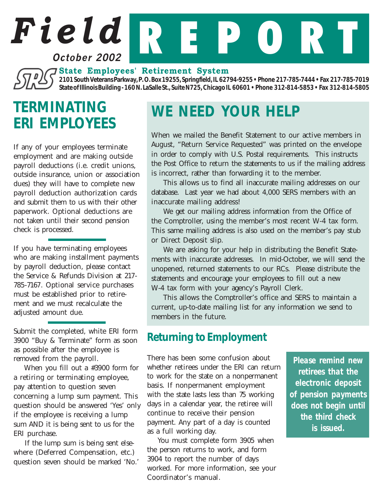### **October 2002**

**State Employees' Retirement System**

*2101 South Veterans Parkway, P. O. Box 19255, Springfield, IL 62794-9255 • Phone 217-785-7444 • Fax 217-785-7019 State of Illinois Building - 160 N. LaSalle St., Suite N725, Chicago IL 60601 • Phone 312-814-5853 • Fax 312-814-5805*

*Field* R E P O R T

# *TERMINATING ERI EMPLOYEES*

If any of your employees terminate employment and are making outside payroll deductions (i.e. credit unions, outside insurance, union or association dues) they will have to complete new payroll deduction authorization cards and submit them to us with their other paperwork. Optional deductions are not taken until their second pension check is processed.

If you have terminating employees who are making installment payments by payroll deduction, please contact the Service & Refunds Division at 217- 785-7167. Optional service purchases must be established prior to retirement and we must recalculate the adjusted amount due.

Submit the completed, white ERI form 3900 "Buy & Terminate" form as soon as possible after the employee is removed from the payroll.

When you fill out a #3900 form for a retiring or terminating employee, pay attention to question seven concerning a lump sum payment. This question should be answered 'Yes' only if the employee is receiving a lump sum AND it is being sent to us for the ERI purchase.

If the lump sum is being sent elsewhere (Deferred Compensation, etc.) question seven should be marked 'No.'

# *WE NEED YOUR HELP*

When we mailed the Benefit Statement to our active members in August, "Return Service Requested" was printed on the envelope in order to comply with U.S. Postal requirements. This instructs the Post Office to return the statements to us if the mailing address is incorrect, rather than forwarding it to the member.

This allows us to find all inaccurate mailing addresses on our database. Last year we had about 4,000 SERS members with an inaccurate mailing address!

We get our mailing address information from the Office of the Comptroller, using the member's most recent W-4 tax form. This same mailing address is also used on the member's pay stub or Direct Deposit slip.

We are asking for your help in distributing the Benefit Statements with inaccurate addresses. In mid-October, we will send the unopened, returned statements to our RCs. Please distribute the statements and encourage your employees to fill out a new W-4 tax form with your agency's Payroll Clerk.

This allows the Comptroller's office and SERS to maintain a current, up-to-date mailing list for any information we send to members in the future.

### *Returning to Employment*

There has been some confusion about whether retirees under the ERI can return to work for the state on a nonpermanent basis. If nonpermanent employment with the state lasts less than 75 working days in a calendar year, the retiree will continue to receive their pension payment. Any part of a day is counted as a full working day.

You must complete form 3905 when the person returns to work, and form 3904 to report the number of days worked. For more information, see your Coordinator's manual.

*Please remind new retirees that the electronic deposit of pension payments does not begin until the third check is issued.*